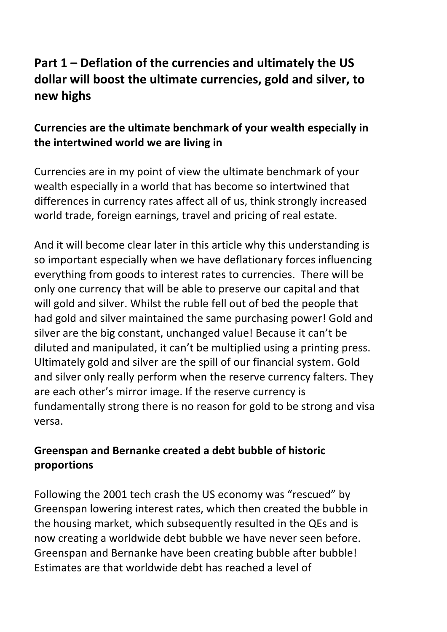# **Part 1 – Deflation of the currencies and ultimately the US** dollar will boost the ultimate currencies, gold and silver, to **new highs**

# **Currencies are the ultimate benchmark of your wealth especially in** the intertwined world we are living in

Currencies are in my point of view the ultimate benchmark of your wealth especially in a world that has become so intertwined that differences in currency rates affect all of us, think strongly increased world trade, foreign earnings, travel and pricing of real estate.

And it will become clear later in this article why this understanding is so important especially when we have deflationary forces influencing everything from goods to interest rates to currencies. There will be only one currency that will be able to preserve our capital and that will gold and silver. Whilst the ruble fell out of bed the people that had gold and silver maintained the same purchasing power! Gold and silver are the big constant, unchanged value! Because it can't be diluted and manipulated, it can't be multiplied using a printing press. Ultimately gold and silver are the spill of our financial system. Gold and silver only really perform when the reserve currency falters. They are each other's mirror image. If the reserve currency is fundamentally strong there is no reason for gold to be strong and visa versa. 

# **Greenspan and Bernanke created a debt bubble of historic proportions**

Following the 2001 tech crash the US economy was "rescued" by Greenspan lowering interest rates, which then created the bubble in the housing market, which subsequently resulted in the QEs and is now creating a worldwide debt bubble we have never seen before. Greenspan and Bernanke have been creating bubble after bubble! Estimates are that worldwide debt has reached a level of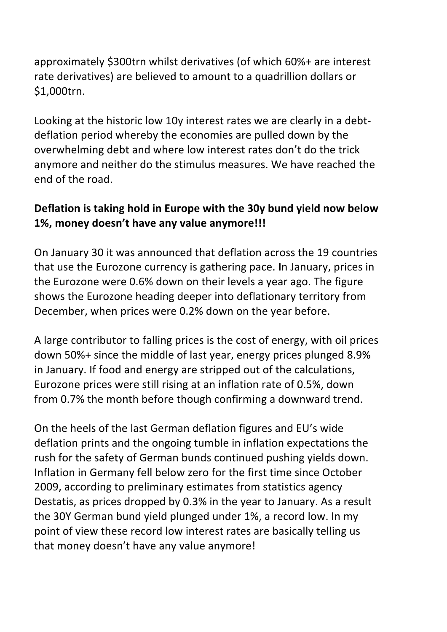approximately \$300trn whilst derivatives (of which 60%+ are interest rate derivatives) are believed to amount to a quadrillion dollars or \$1,000trn. 

Looking at the historic low 10y interest rates we are clearly in a debtdeflation period whereby the economies are pulled down by the overwhelming debt and where low interest rates don't do the trick anymore and neither do the stimulus measures. We have reached the end of the road.

# Deflation is taking hold in Europe with the 30y bund yield now below 1%, money doesn't have any value anymore!!!

On January 30 it was announced that deflation across the 19 countries that use the Eurozone currency is gathering pace. In January, prices in the Eurozone were 0.6% down on their levels a year ago. The figure shows the Eurozone heading deeper into deflationary territory from December, when prices were 0.2% down on the year before.

A large contributor to falling prices is the cost of energy, with oil prices down 50%+ since the middle of last year, energy prices plunged 8.9% in January. If food and energy are stripped out of the calculations, Eurozone prices were still rising at an inflation rate of 0.5%, down from 0.7% the month before though confirming a downward trend.

On the heels of the last German deflation figures and EU's wide deflation prints and the ongoing tumble in inflation expectations the rush for the safety of German bunds continued pushing yields down. Inflation in Germany fell below zero for the first time since October 2009, according to preliminary estimates from statistics agency Destatis, as prices dropped by 0.3% in the year to January. As a result the 30Y German bund yield plunged under 1%, a record low. In my point of view these record low interest rates are basically telling us that money doesn't have any value anymore!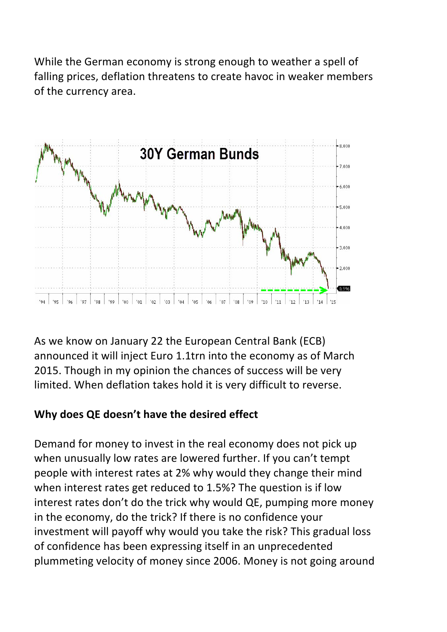While the German economy is strong enough to weather a spell of falling prices, deflation threatens to create havoc in weaker members of the currency area.



As we know on January 22 the European Central Bank (ECB) announced it will inject Euro 1.1trn into the economy as of March 2015. Though in my opinion the chances of success will be very limited. When deflation takes hold it is very difficult to reverse.

# **Why does QE doesn't have the desired effect**

Demand for money to invest in the real economy does not pick up when unusually low rates are lowered further. If you can't tempt people with interest rates at 2% why would they change their mind when interest rates get reduced to 1.5%? The question is if low interest rates don't do the trick why would QE, pumping more money in the economy, do the trick? If there is no confidence your investment will payoff why would you take the risk? This gradual loss of confidence has been expressing itself in an unprecedented plummeting velocity of money since 2006. Money is not going around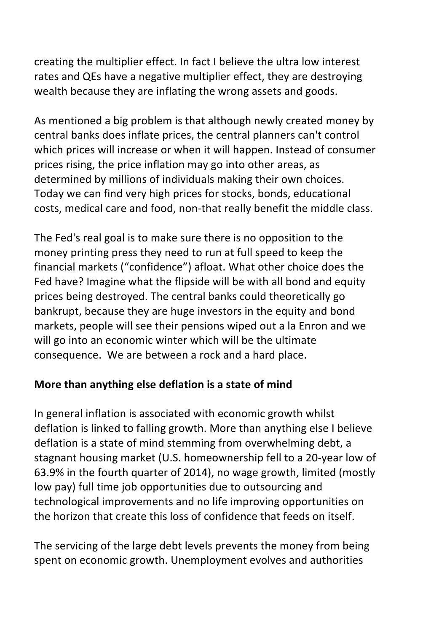creating the multiplier effect. In fact I believe the ultra low interest rates and QEs have a negative multiplier effect, they are destroying wealth because they are inflating the wrong assets and goods.

As mentioned a big problem is that although newly created money by central banks does inflate prices, the central planners can't control which prices will increase or when it will happen. Instead of consumer prices rising, the price inflation may go into other areas, as determined by millions of individuals making their own choices. Today we can find very high prices for stocks, bonds, educational costs, medical care and food, non-that really benefit the middle class.

The Fed's real goal is to make sure there is no opposition to the money printing press they need to run at full speed to keep the financial markets ("confidence") afloat. What other choice does the Fed have? Imagine what the flipside will be with all bond and equity prices being destroyed. The central banks could theoretically go bankrupt, because they are huge investors in the equity and bond markets, people will see their pensions wiped out a la Enron and we will go into an economic winter which will be the ultimate consequence. We are between a rock and a hard place.

#### **More than anything else deflation is a state of mind**

In general inflation is associated with economic growth whilst deflation is linked to falling growth. More than anything else I believe deflation is a state of mind stemming from overwhelming debt, a stagnant housing market (U.S. homeownership fell to a 20-year low of 63.9% in the fourth quarter of 2014), no wage growth, limited (mostly low pay) full time job opportunities due to outsourcing and technological improvements and no life improving opportunities on the horizon that create this loss of confidence that feeds on itself.

The servicing of the large debt levels prevents the money from being spent on economic growth. Unemployment evolves and authorities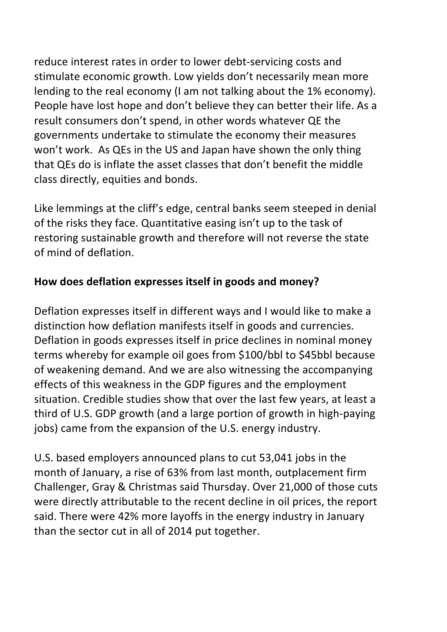reduce interest rates in order to lower debt-servicing costs and stimulate economic growth. Low yields don't necessarily mean more lending to the real economy (I am not talking about the 1% economy). People have lost hope and don't believe they can better their life. As a result consumers don't spend, in other words whatever QE the governments undertake to stimulate the economy their measures won't work. As QEs in the US and Japan have shown the only thing that QEs do is inflate the asset classes that don't benefit the middle class directly, equities and bonds.

Like lemmings at the cliff's edge, central banks seem steeped in denial of the risks they face. Quantitative easing isn't up to the task of restoring sustainable growth and therefore will not reverse the state of mind of deflation. 

# How does deflation expresses itself in goods and money?

Deflation expresses itself in different ways and I would like to make a distinction how deflation manifests itself in goods and currencies. Deflation in goods expresses itself in price declines in nominal money terms whereby for example oil goes from \$100/bbl to \$45bbl because of weakening demand. And we are also witnessing the accompanying effects of this weakness in the GDP figures and the employment situation. Credible studies show that over the last few years, at least a third of U.S. GDP growth (and a large portion of growth in high-paying jobs) came from the expansion of the U.S. energy industry.

U.S. based employers announced plans to cut 53,041 jobs in the month of January, a rise of 63% from last month, outplacement firm Challenger, Gray & Christmas said Thursday. Over 21,000 of those cuts were directly attributable to the recent decline in oil prices, the report said. There were 42% more layoffs in the energy industry in January than the sector cut in all of 2014 put together.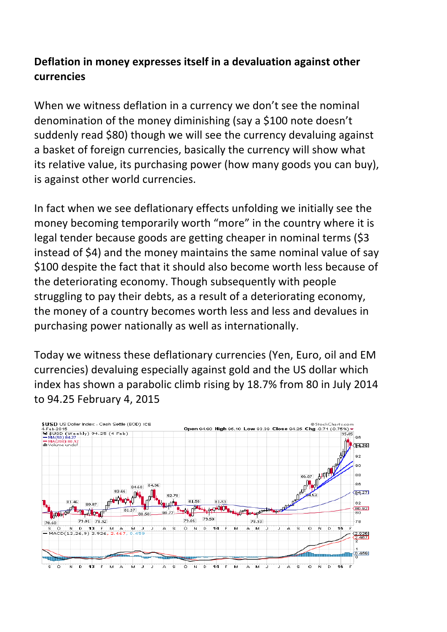### **Deflation in money expresses itself in a devaluation against other currencies**

When we witness deflation in a currency we don't see the nominal denomination of the money diminishing (say a \$100 note doesn't suddenly read \$80) though we will see the currency devaluing against a basket of foreign currencies, basically the currency will show what its relative value, its purchasing power (how many goods you can buy), is against other world currencies.

In fact when we see deflationary effects unfolding we initially see the money becoming temporarily worth "more" in the country where it is legal tender because goods are getting cheaper in nominal terms (\$3 instead of \$4) and the money maintains the same nominal value of say \$100 despite the fact that it should also become worth less because of the deteriorating economy. Though subsequently with people struggling to pay their debts, as a result of a deteriorating economy, the money of a country becomes worth less and less and devalues in purchasing power nationally as well as internationally.

Today we witness these deflationary currencies (Yen, Euro, oil and EM currencies) devaluing especially against gold and the US dollar which index has shown a parabolic climb rising by 18.7% from 80 in July 2014 to 94.25 February 4, 2015 

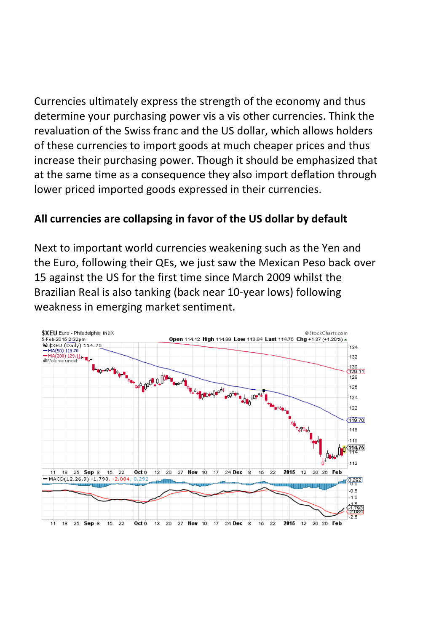Currencies ultimately express the strength of the economy and thus determine your purchasing power vis a vis other currencies. Think the revaluation of the Swiss franc and the US dollar, which allows holders of these currencies to import goods at much cheaper prices and thus increase their purchasing power. Though it should be emphasized that at the same time as a consequence they also import deflation through lower priced imported goods expressed in their currencies.

#### All currencies are collapsing in favor of the US dollar by default

Next to important world currencies weakening such as the Yen and the Euro, following their QEs, we just saw the Mexican Peso back over 15 against the US for the first time since March 2009 whilst the Brazilian Real is also tanking (back near 10-year lows) following weakness in emerging market sentiment.

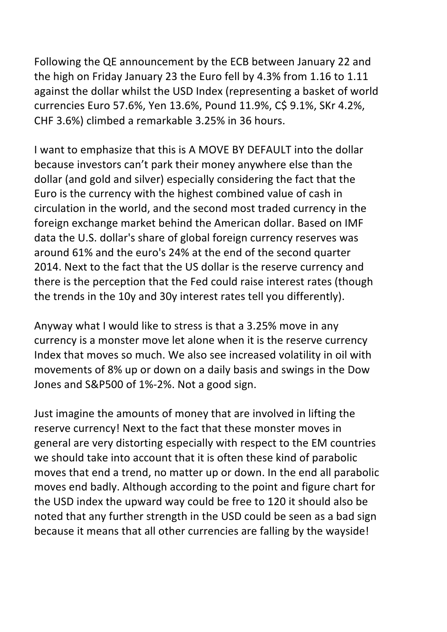Following the QE announcement by the ECB between January 22 and the high on Friday January 23 the Euro fell by 4.3% from 1.16 to 1.11 against the dollar whilst the USD Index (representing a basket of world currencies Euro 57.6%, Yen 13.6%, Pound 11.9%, C\$ 9.1%, SKr 4.2%, CHF 3.6%) climbed a remarkable 3.25% in 36 hours.

I want to emphasize that this is A MOVE BY DEFAULT into the dollar because investors can't park their money anywhere else than the dollar (and gold and silver) especially considering the fact that the Euro is the currency with the highest combined value of cash in circulation in the world, and the second most traded currency in the foreign exchange market behind the American dollar. Based on IMF data the U.S. dollar's share of global foreign currency reserves was around 61% and the euro's 24% at the end of the second quarter 2014. Next to the fact that the US dollar is the reserve currency and there is the perception that the Fed could raise interest rates (though the trends in the 10y and 30y interest rates tell you differently).

Anyway what I would like to stress is that a 3.25% move in any currency is a monster move let alone when it is the reserve currency Index that moves so much. We also see increased volatility in oil with movements of 8% up or down on a daily basis and swings in the Dow Jones and S&P500 of 1%-2%. Not a good sign.

Just imagine the amounts of money that are involved in lifting the reserve currency! Next to the fact that these monster moves in general are very distorting especially with respect to the EM countries we should take into account that it is often these kind of parabolic moves that end a trend, no matter up or down. In the end all parabolic moves end badly. Although according to the point and figure chart for the USD index the upward way could be free to 120 it should also be noted that any further strength in the USD could be seen as a bad sign because it means that all other currencies are falling by the wayside!